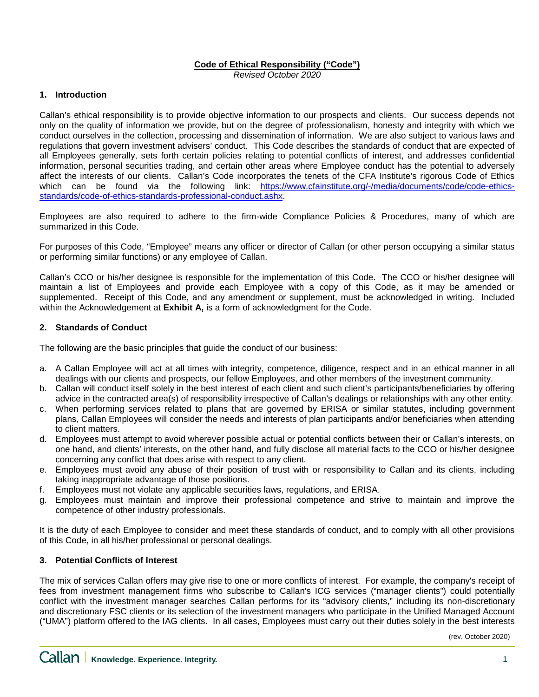### **Code of Ethical Responsibility ("Code")**

*Revised October 2020*

#### **1. Introduction**

Callan's ethical responsibility is to provide objective information to our prospects and clients. Our success depends not only on the quality of information we provide, but on the degree of professionalism, honesty and integrity with which we conduct ourselves in the collection, processing and dissemination of information. We are also subject to various laws and regulations that govern investment advisers' conduct. This Code describes the standards of conduct that are expected of all Employees generally, sets forth certain policies relating to potential conflicts of interest, and addresses confidential information, personal securities trading, and certain other areas where Employee conduct has the potential to adversely affect the interests of our clients. Callan's Code incorporates the tenets of the CFA Institute's rigorous Code of Ethics which can be found via the following link: [https://www.cfainstitute.org/-/media/documents/code/code-ethics](https://www.cfainstitute.org/-/media/documents/code/code-ethics-standards/code-of-ethics-standards-professional-conduct.ashx)[standards/code-of-ethics-standards-professional-conduct.ashx.](https://www.cfainstitute.org/-/media/documents/code/code-ethics-standards/code-of-ethics-standards-professional-conduct.ashx)

Employees are also required to adhere to the firm-wide Compliance Policies & Procedures, many of which are summarized in this Code.

For purposes of this Code, "Employee" means any officer or director of Callan (or other person occupying a similar status or performing similar functions) or any employee of Callan.

Callan's CCO or his/her designee is responsible for the implementation of this Code. The CCO or his/her designee will maintain a list of Employees and provide each Employee with a copy of this Code, as it may be amended or supplemented. Receipt of this Code, and any amendment or supplement, must be acknowledged in writing. Included within the Acknowledgement at **Exhibit A,** is a form of acknowledgment for the Code.

#### **2. Standards of Conduct**

The following are the basic principles that guide the conduct of our business:

- a. A Callan Employee will act at all times with integrity, competence, diligence, respect and in an ethical manner in all dealings with our clients and prospects, our fellow Employees, and other members of the investment community.
- b. Callan will conduct itself solely in the best interest of each client and such client's participants/beneficiaries by offering advice in the contracted area(s) of responsibility irrespective of Callan's dealings or relationships with any other entity.
- c. When performing services related to plans that are governed by ERISA or similar statutes, including government plans, Callan Employees will consider the needs and interests of plan participants and/or beneficiaries when attending to client matters.
- d. Employees must attempt to avoid wherever possible actual or potential conflicts between their or Callan's interests, on one hand, and clients' interests, on the other hand, and fully disclose all material facts to the CCO or his/her designee concerning any conflict that does arise with respect to any client.
- e. Employees must avoid any abuse of their position of trust with or responsibility to Callan and its clients, including taking inappropriate advantage of those positions.
- f. Employees must not violate any applicable securities laws, regulations, and ERISA.
- g. Employees must maintain and improve their professional competence and strive to maintain and improve the competence of other industry professionals.

It is the duty of each Employee to consider and meet these standards of conduct, and to comply with all other provisions of this Code, in all his/her professional or personal dealings.

#### **3. Potential Conflicts of Interest**

The mix of services Callan offers may give rise to one or more conflicts of interest. For example, the company's receipt of fees from investment management firms who subscribe to Callan's ICG services ("manager clients") could potentially conflict with the investment manager searches Callan performs for its "advisory clients," including its non-discretionary and discretionary FSC clients or its selection of the investment managers who participate in the Unified Managed Account ("UMA") platform offered to the IAG clients. In all cases, Employees must carry out their duties solely in the best interests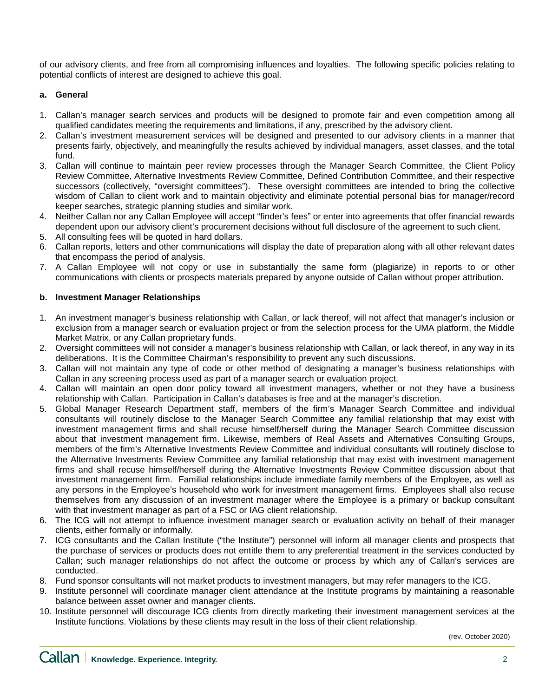of our advisory clients, and free from all compromising influences and loyalties. The following specific policies relating to potential conflicts of interest are designed to achieve this goal.

## **a. General**

- 1. Callan's manager search services and products will be designed to promote fair and even competition among all qualified candidates meeting the requirements and limitations, if any, prescribed by the advisory client.
- 2. Callan's investment measurement services will be designed and presented to our advisory clients in a manner that presents fairly, objectively, and meaningfully the results achieved by individual managers, asset classes, and the total fund.
- 3. Callan will continue to maintain peer review processes through the Manager Search Committee, the Client Policy Review Committee, Alternative Investments Review Committee, Defined Contribution Committee, and their respective successors (collectively, "oversight committees"). These oversight committees are intended to bring the collective wisdom of Callan to client work and to maintain objectivity and eliminate potential personal bias for manager/record keeper searches, strategic planning studies and similar work.
- 4. Neither Callan nor any Callan Employee will accept "finder's fees" or enter into agreements that offer financial rewards dependent upon our advisory client's procurement decisions without full disclosure of the agreement to such client.
- 5. All consulting fees will be quoted in hard dollars.
- 6. Callan reports, letters and other communications will display the date of preparation along with all other relevant dates that encompass the period of analysis.
- 7. A Callan Employee will not copy or use in substantially the same form (plagiarize) in reports to or other communications with clients or prospects materials prepared by anyone outside of Callan without proper attribution.

### **b. Investment Manager Relationships**

- 1. An investment manager's business relationship with Callan, or lack thereof, will not affect that manager's inclusion or exclusion from a manager search or evaluation project or from the selection process for the UMA platform, the Middle Market Matrix, or any Callan proprietary funds.
- 2. Oversight committees will not consider a manager's business relationship with Callan, or lack thereof, in any way in its deliberations. It is the Committee Chairman's responsibility to prevent any such discussions.
- 3. Callan will not maintain any type of code or other method of designating a manager's business relationships with Callan in any screening process used as part of a manager search or evaluation project.
- 4. Callan will maintain an open door policy toward all investment managers, whether or not they have a business relationship with Callan. Participation in Callan's databases is free and at the manager's discretion.
- 5. Global Manager Research Department staff, members of the firm's Manager Search Committee and individual consultants will routinely disclose to the Manager Search Committee any familial relationship that may exist with investment management firms and shall recuse himself/herself during the Manager Search Committee discussion about that investment management firm. Likewise, members of Real Assets and Alternatives Consulting Groups, members of the firm's Alternative Investments Review Committee and individual consultants will routinely disclose to the Alternative Investments Review Committee any familial relationship that may exist with investment management firms and shall recuse himself/herself during the Alternative Investments Review Committee discussion about that investment management firm. Familial relationships include immediate family members of the Employee, as well as any persons in the Employee's household who work for investment management firms. Employees shall also recuse themselves from any discussion of an investment manager where the Employee is a primary or backup consultant with that investment manager as part of a FSC or IAG client relationship.
- 6. The ICG will not attempt to influence investment manager search or evaluation activity on behalf of their manager clients, either formally or informally.
- 7. ICG consultants and the Callan Institute ("the Institute") personnel will inform all manager clients and prospects that the purchase of services or products does not entitle them to any preferential treatment in the services conducted by Callan; such manager relationships do not affect the outcome or process by which any of Callan's services are conducted.
- 8. Fund sponsor consultants will not market products to investment managers, but may refer managers to the ICG.
- 9. Institute personnel will coordinate manager client attendance at the Institute programs by maintaining a reasonable balance between asset owner and manager clients.
- 10. Institute personnel will discourage ICG clients from directly marketing their investment management services at the Institute functions. Violations by these clients may result in the loss of their client relationship.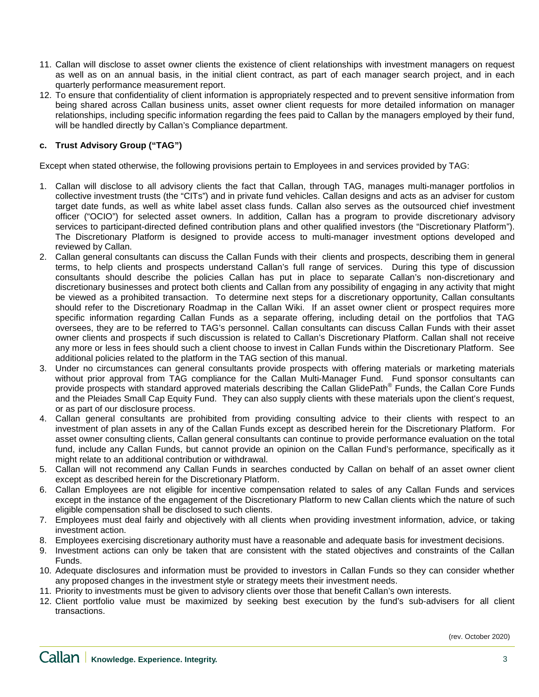- 11. Callan will disclose to asset owner clients the existence of client relationships with investment managers on request as well as on an annual basis, in the initial client contract, as part of each manager search project, and in each quarterly performance measurement report.
- 12. To ensure that confidentiality of client information is appropriately respected and to prevent sensitive information from being shared across Callan business units, asset owner client requests for more detailed information on manager relationships, including specific information regarding the fees paid to Callan by the managers employed by their fund, will be handled directly by Callan's Compliance department.

# **c. Trust Advisory Group ("TAG")**

Except when stated otherwise, the following provisions pertain to Employees in and services provided by TAG:

- 1. Callan will disclose to all advisory clients the fact that Callan, through TAG, manages multi-manager portfolios in collective investment trusts (the "CITs") and in private fund vehicles. Callan designs and acts as an adviser for custom target date funds, as well as white label asset class funds. Callan also serves as the outsourced chief investment officer ("OCIO") for selected asset owners. In addition, Callan has a program to provide discretionary advisory services to participant-directed defined contribution plans and other qualified investors (the "Discretionary Platform"). The Discretionary Platform is designed to provide access to multi-manager investment options developed and reviewed by Callan.
- 2. Callan general consultants can discuss the Callan Funds with their clients and prospects, describing them in general terms, to help clients and prospects understand Callan's full range of services. During this type of discussion consultants should describe the policies Callan has put in place to separate Callan's non-discretionary and discretionary businesses and protect both clients and Callan from any possibility of engaging in any activity that might be viewed as a prohibited transaction. To determine next steps for a discretionary opportunity, Callan consultants should refer to the Discretionary Roadmap in the Callan Wiki. If an asset owner client or prospect requires more specific information regarding Callan Funds as a separate offering, including detail on the portfolios that TAG oversees, they are to be referred to TAG's personnel. Callan consultants can discuss Callan Funds with their asset owner clients and prospects if such discussion is related to Callan's Discretionary Platform. Callan shall not receive any more or less in fees should such a client choose to invest in Callan Funds within the Discretionary Platform. See additional policies related to the platform in the TAG section of this manual.
- 3. Under no circumstances can general consultants provide prospects with offering materials or marketing materials without prior approval from TAG compliance for the Callan Multi-Manager Fund. Fund sponsor consultants can provide prospects with standard approved materials describing the Callan GlidePath<sup>®</sup> Funds, the Callan Core Funds and the Pleiades Small Cap Equity Fund. They can also supply clients with these materials upon the client's request, or as part of our disclosure process.
- 4. Callan general consultants are prohibited from providing consulting advice to their clients with respect to an investment of plan assets in any of the Callan Funds except as described herein for the Discretionary Platform. For asset owner consulting clients, Callan general consultants can continue to provide performance evaluation on the total fund, include any Callan Funds, but cannot provide an opinion on the Callan Fund's performance, specifically as it might relate to an additional contribution or withdrawal.
- 5. Callan will not recommend any Callan Funds in searches conducted by Callan on behalf of an asset owner client except as described herein for the Discretionary Platform.
- 6. Callan Employees are not eligible for incentive compensation related to sales of any Callan Funds and services except in the instance of the engagement of the Discretionary Platform to new Callan clients which the nature of such eligible compensation shall be disclosed to such clients.
- 7. Employees must deal fairly and objectively with all clients when providing investment information, advice, or taking investment action.
- 8. Employees exercising discretionary authority must have a reasonable and adequate basis for investment decisions.
- 9. Investment actions can only be taken that are consistent with the stated objectives and constraints of the Callan Funds.
- 10. Adequate disclosures and information must be provided to investors in Callan Funds so they can consider whether any proposed changes in the investment style or strategy meets their investment needs.
- 11. Priority to investments must be given to advisory clients over those that benefit Callan's own interests.
- 12. Client portfolio value must be maximized by seeking best execution by the fund's sub-advisers for all client transactions.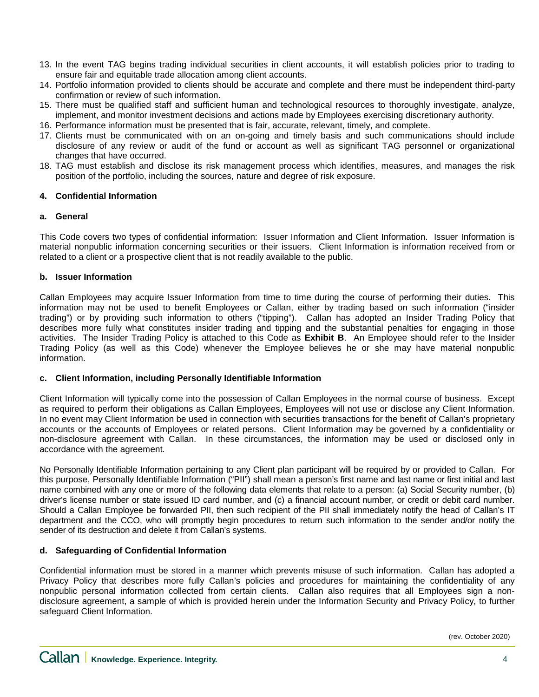- 13. In the event TAG begins trading individual securities in client accounts, it will establish policies prior to trading to ensure fair and equitable trade allocation among client accounts.
- 14. Portfolio information provided to clients should be accurate and complete and there must be independent third-party confirmation or review of such information.
- 15. There must be qualified staff and sufficient human and technological resources to thoroughly investigate, analyze, implement, and monitor investment decisions and actions made by Employees exercising discretionary authority.
- 16. Performance information must be presented that is fair, accurate, relevant, timely, and complete.
- 17. Clients must be communicated with on an on-going and timely basis and such communications should include disclosure of any review or audit of the fund or account as well as significant TAG personnel or organizational changes that have occurred.
- 18. TAG must establish and disclose its risk management process which identifies, measures, and manages the risk position of the portfolio, including the sources, nature and degree of risk exposure.

### **4. Confidential Information**

### **a. General**

This Code covers two types of confidential information: Issuer Information and Client Information. Issuer Information is material nonpublic information concerning securities or their issuers. Client Information is information received from or related to a client or a prospective client that is not readily available to the public.

### **b. Issuer Information**

Callan Employees may acquire Issuer Information from time to time during the course of performing their duties. This information may not be used to benefit Employees or Callan, either by trading based on such information ("insider trading") or by providing such information to others ("tipping"). Callan has adopted an Insider Trading Policy that describes more fully what constitutes insider trading and tipping and the substantial penalties for engaging in those activities. The Insider Trading Policy is attached to this Code as **Exhibit B**. An Employee should refer to the Insider Trading Policy (as well as this Code) whenever the Employee believes he or she may have material nonpublic information.

#### **c. Client Information, including Personally Identifiable Information**

Client Information will typically come into the possession of Callan Employees in the normal course of business. Except as required to perform their obligations as Callan Employees, Employees will not use or disclose any Client Information. In no event may Client Information be used in connection with securities transactions for the benefit of Callan's proprietary accounts or the accounts of Employees or related persons. Client Information may be governed by a confidentiality or non-disclosure agreement with Callan. In these circumstances, the information may be used or disclosed only in accordance with the agreement.

No Personally Identifiable Information pertaining to any Client plan participant will be required by or provided to Callan. For this purpose, Personally Identifiable Information ("PII") shall mean a person's first name and last name or first initial and last name combined with any one or more of the following data elements that relate to a person: (a) Social Security number, (b) driver's license number or state issued ID card number, and (c) a financial account number, or credit or debit card number. Should a Callan Employee be forwarded PII, then such recipient of the PII shall immediately notify the head of Callan's IT department and the CCO, who will promptly begin procedures to return such information to the sender and/or notify the sender of its destruction and delete it from Callan's systems.

## **d. Safeguarding of Confidential Information**

Confidential information must be stored in a manner which prevents misuse of such information. Callan has adopted a Privacy Policy that describes more fully Callan's policies and procedures for maintaining the confidentiality of any nonpublic personal information collected from certain clients. Callan also requires that all Employees sign a nondisclosure agreement, a sample of which is provided herein under the Information Security and Privacy Policy, to further safeguard Client Information.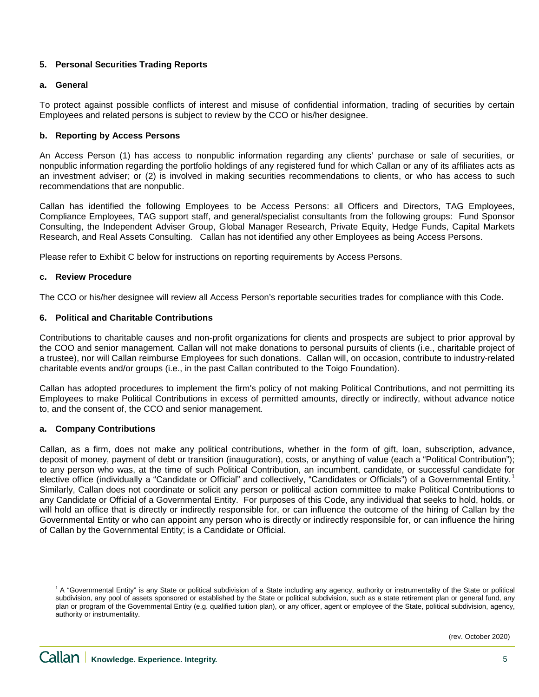## **5. Personal Securities Trading Reports**

### **a. General**

To protect against possible conflicts of interest and misuse of confidential information, trading of securities by certain Employees and related persons is subject to review by the CCO or his/her designee.

## **b. Reporting by Access Persons**

An Access Person (1) has access to nonpublic information regarding any clients' purchase or sale of securities, or nonpublic information regarding the portfolio holdings of any registered fund for which Callan or any of its affiliates acts as an investment adviser; or (2) is involved in making securities recommendations to clients, or who has access to such recommendations that are nonpublic.

Callan has identified the following Employees to be Access Persons: all Officers and Directors, TAG Employees, Compliance Employees, TAG support staff, and general/specialist consultants from the following groups: Fund Sponsor Consulting, the Independent Adviser Group, Global Manager Research, Private Equity, Hedge Funds, Capital Markets Research, and Real Assets Consulting. Callan has not identified any other Employees as being Access Persons.

Please refer to Exhibit C below for instructions on reporting requirements by Access Persons.

### **c. Review Procedure**

The CCO or his/her designee will review all Access Person's reportable securities trades for compliance with this Code.

### **6. Political and Charitable Contributions**

Contributions to charitable causes and non-profit organizations for clients and prospects are subject to prior approval by the COO and senior management. Callan will not make donations to personal pursuits of clients (i.e., charitable project of a trustee), nor will Callan reimburse Employees for such donations. Callan will, on occasion, contribute to industry-related charitable events and/or groups (i.e., in the past Callan contributed to the Toigo Foundation).

Callan has adopted procedures to implement the firm's policy of not making Political Contributions, and not permitting its Employees to make Political Contributions in excess of permitted amounts, directly or indirectly, without advance notice to, and the consent of, the CCO and senior management.

## **a. Company Contributions**

Callan, as a firm, does not make any political contributions, whether in the form of gift, loan, subscription, advance, deposit of money, payment of debt or transition (inauguration), costs, or anything of value (each a "Political Contribution"); to any person who was, at the time of such Political Contribution, an incumbent, candidate, or successful candidate for elective office (individually a "Candidate or Official" and collectively, "Candidates or Officials") of a Governmental Entity.<sup>[1](#page-4-0)</sup> Similarly, Callan does not coordinate or solicit any person or political action committee to make Political Contributions to any Candidate or Official of a Governmental Entity. For purposes of this Code, any individual that seeks to hold, holds, or will hold an office that is directly or indirectly responsible for, or can influence the outcome of the hiring of Callan by the Governmental Entity or who can appoint any person who is directly or indirectly responsible for, or can influence the hiring of Callan by the Governmental Entity; is a Candidate or Official.

<span id="page-4-0"></span><sup>&</sup>lt;sup>1</sup> A "Governmental Entity" is any State or political subdivision of a State including any agency, authority or instrumentality of the State or political subdivision, any pool of assets sponsored or established by the State or political subdivision, such as a state retirement plan or general fund, any plan or program of the Governmental Entity (e.g. qualified tuition plan), or any officer, agent or employee of the State, political subdivision, agency, authority or instrumentality.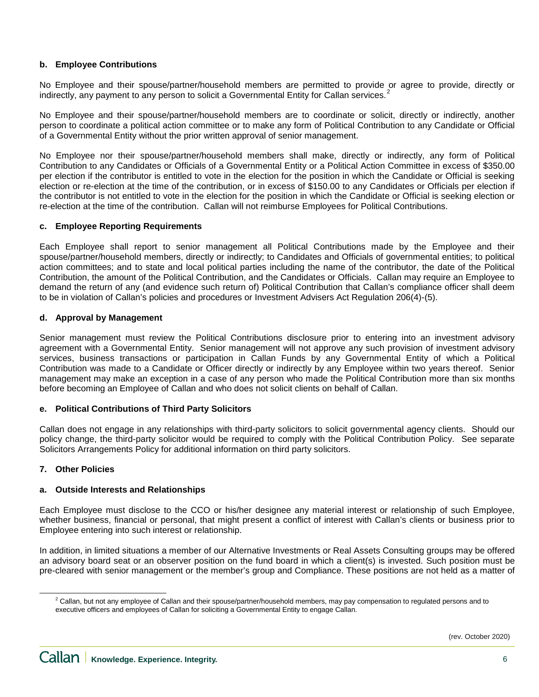### **b. Employee Contributions**

No Employee and their spouse/partner/household members are permitted to provide or agree to provide, directly or indirectly, any payment to any person to solicit a Governmental Entity for Callan services.<sup>[2](#page-5-0)</sup>

No Employee and their spouse/partner/household members are to coordinate or solicit, directly or indirectly, another person to coordinate a political action committee or to make any form of Political Contribution to any Candidate or Official of a Governmental Entity without the prior written approval of senior management.

No Employee nor their spouse/partner/household members shall make, directly or indirectly, any form of Political Contribution to any Candidates or Officials of a Governmental Entity or a Political Action Committee in excess of \$350.00 per election if the contributor is entitled to vote in the election for the position in which the Candidate or Official is seeking election or re-election at the time of the contribution, or in excess of \$150.00 to any Candidates or Officials per election if the contributor is not entitled to vote in the election for the position in which the Candidate or Official is seeking election or re-election at the time of the contribution. Callan will not reimburse Employees for Political Contributions.

#### **c. Employee Reporting Requirements**

Each Employee shall report to senior management all Political Contributions made by the Employee and their spouse/partner/household members, directly or indirectly; to Candidates and Officials of governmental entities; to political action committees; and to state and local political parties including the name of the contributor, the date of the Political Contribution, the amount of the Political Contribution, and the Candidates or Officials. Callan may require an Employee to demand the return of any (and evidence such return of) Political Contribution that Callan's compliance officer shall deem to be in violation of Callan's policies and procedures or Investment Advisers Act Regulation 206(4)-(5).

### **d. Approval by Management**

Senior management must review the Political Contributions disclosure prior to entering into an investment advisory agreement with a Governmental Entity. Senior management will not approve any such provision of investment advisory services, business transactions or participation in Callan Funds by any Governmental Entity of which a Political Contribution was made to a Candidate or Officer directly or indirectly by any Employee within two years thereof. Senior management may make an exception in a case of any person who made the Political Contribution more than six months before becoming an Employee of Callan and who does not solicit clients on behalf of Callan.

#### **e. Political Contributions of Third Party Solicitors**

Callan does not engage in any relationships with third-party solicitors to solicit governmental agency clients. Should our policy change, the third-party solicitor would be required to comply with the Political Contribution Policy. See separate Solicitors Arrangements Policy for additional information on third party solicitors.

## **7. Other Policies**

## **a. Outside Interests and Relationships**

Each Employee must disclose to the CCO or his/her designee any material interest or relationship of such Employee, whether business, financial or personal, that might present a conflict of interest with Callan's clients or business prior to Employee entering into such interest or relationship.

In addition, in limited situations a member of our Alternative Investments or Real Assets Consulting groups may be offered an advisory board seat or an observer position on the fund board in which a client(s) is invested. Such position must be pre-cleared with senior management or the member's group and Compliance. These positions are not held as a matter of

<span id="page-5-0"></span> $2$  Callan, but not any employee of Callan and their spouse/partner/household members, may pay compensation to regulated persons and to executive officers and employees of Callan for soliciting a Governmental Entity to engage Callan.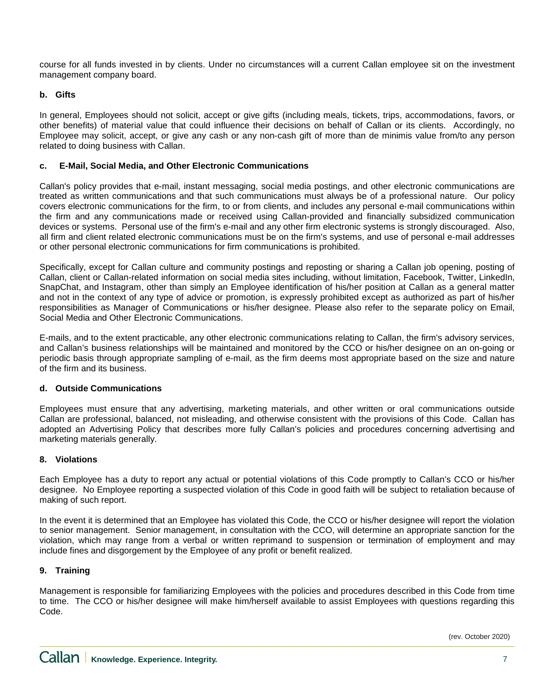course for all funds invested in by clients. Under no circumstances will a current Callan employee sit on the investment management company board.

## **b. Gifts**

In general, Employees should not solicit, accept or give gifts (including meals, tickets, trips, accommodations, favors, or other benefits) of material value that could influence their decisions on behalf of Callan or its clients. Accordingly, no Employee may solicit, accept, or give any cash or any non-cash gift of more than de minimis value from/to any person related to doing business with Callan.

### **c. E-Mail, Social Media, and Other Electronic Communications**

Callan's policy provides that e-mail, instant messaging, social media postings, and other electronic communications are treated as written communications and that such communications must always be of a professional nature. Our policy covers electronic communications for the firm, to or from clients, and includes any personal e-mail communications within the firm and any communications made or received using Callan-provided and financially subsidized communication devices or systems. Personal use of the firm's e-mail and any other firm electronic systems is strongly discouraged. Also, all firm and client related electronic communications must be on the firm's systems, and use of personal e-mail addresses or other personal electronic communications for firm communications is prohibited.

Specifically, except for Callan culture and community postings and reposting or sharing a Callan job opening, posting of Callan, client or Callan-related information on social media sites including, without limitation, Facebook, Twitter, LinkedIn, SnapChat, and Instagram, other than simply an Employee identification of his/her position at Callan as a general matter and not in the context of any type of advice or promotion, is expressly prohibited except as authorized as part of his/her responsibilities as Manager of Communications or his/her designee. Please also refer to the separate policy on Email, Social Media and Other Electronic Communications.

E-mails, and to the extent practicable, any other electronic communications relating to Callan, the firm's advisory services, and Callan's business relationships will be maintained and monitored by the CCO or his/her designee on an on-going or periodic basis through appropriate sampling of e-mail, as the firm deems most appropriate based on the size and nature of the firm and its business.

#### **d. Outside Communications**

Employees must ensure that any advertising, marketing materials, and other written or oral communications outside Callan are professional, balanced, not misleading, and otherwise consistent with the provisions of this Code. Callan has adopted an Advertising Policy that describes more fully Callan's policies and procedures concerning advertising and marketing materials generally.

#### **8. Violations**

Each Employee has a duty to report any actual or potential violations of this Code promptly to Callan's CCO or his/her designee. No Employee reporting a suspected violation of this Code in good faith will be subject to retaliation because of making of such report.

In the event it is determined that an Employee has violated this Code, the CCO or his/her designee will report the violation to senior management. Senior management, in consultation with the CCO, will determine an appropriate sanction for the violation, which may range from a verbal or written reprimand to suspension or termination of employment and may include fines and disgorgement by the Employee of any profit or benefit realized.

## **9. Training**

Management is responsible for familiarizing Employees with the policies and procedures described in this Code from time to time. The CCO or his/her designee will make him/herself available to assist Employees with questions regarding this Code.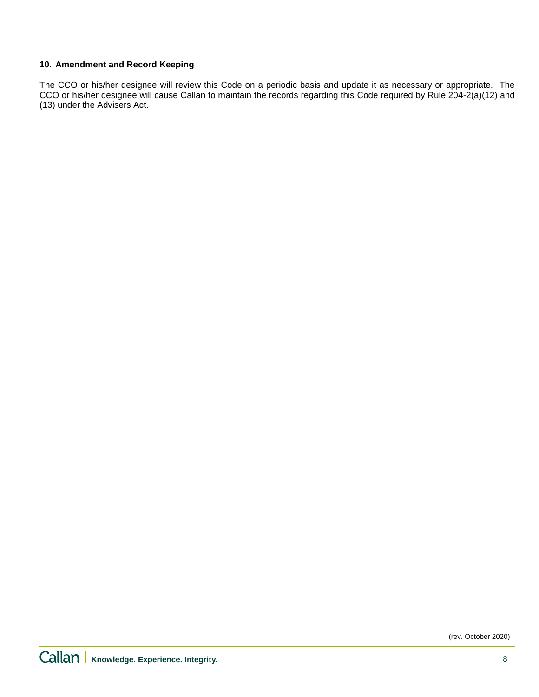## **10. Amendment and Record Keeping**

The CCO or his/her designee will review this Code on a periodic basis and update it as necessary or appropriate. The CCO or his/her designee will cause Callan to maintain the records regarding this Code required by Rule 204-2(a)(12) and (13) under the Advisers Act.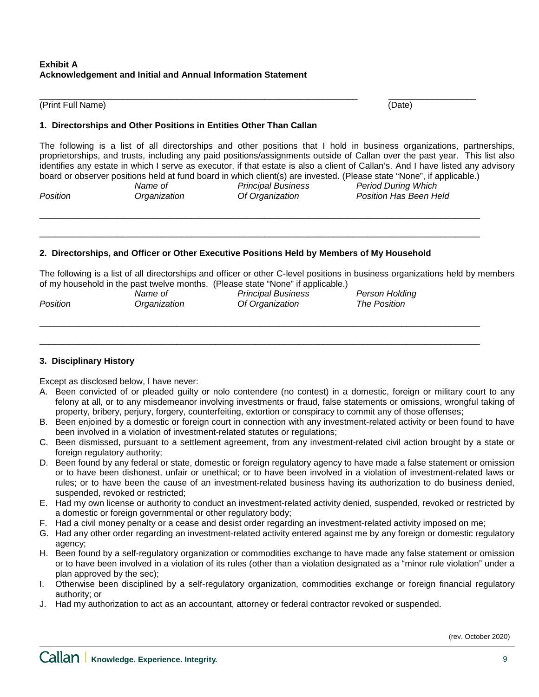## **Exhibit A Acknowledgement and Initial and Annual Information Statement**

#### \_\_\_\_\_\_\_\_\_\_\_\_\_\_\_\_\_\_\_\_\_\_\_\_\_\_\_\_\_\_\_\_\_\_\_\_\_\_\_\_\_\_\_\_\_\_\_\_\_\_\_\_\_\_\_\_\_\_\_\_\_\_\_\_\_ \_\_\_\_\_\_\_\_\_\_\_\_\_\_\_\_\_\_ (Print Full Name) (Date)

#### **1. Directorships and Other Positions in Entities Other Than Callan**

The following is a list of all directorships and other positions that I hold in business organizations, partnerships, proprietorships, and trusts, including any paid positions/assignments outside of Callan over the past year. This list also identifies any estate in which I serve as executor, if that estate is also a client of Callan's. And I have listed any advisory board or observer positions held at fund board in which client(s) are invested. (Please state "None", if applicable.)<br>Name of Principal Business Period During Which

\_\_\_\_\_\_\_\_\_\_\_\_\_\_\_\_\_\_\_\_\_\_\_\_\_\_\_\_\_\_\_\_\_\_\_\_\_\_\_\_\_\_\_\_\_\_\_\_\_\_\_\_\_\_\_\_\_\_\_\_\_\_\_\_\_\_\_\_\_\_\_\_\_\_\_\_\_\_\_\_\_\_\_\_\_\_\_\_\_\_

\_\_\_\_\_\_\_\_\_\_\_\_\_\_\_\_\_\_\_\_\_\_\_\_\_\_\_\_\_\_\_\_\_\_\_\_\_\_\_\_\_\_\_\_\_\_\_\_\_\_\_\_\_\_\_\_\_\_\_\_\_\_\_\_\_\_\_\_\_\_\_\_\_\_\_\_\_\_\_\_\_\_\_\_\_\_\_\_\_\_

*Name of Principal Business Period During Which Position Organization Of Organization Position Has Been Held*

## **2. Directorships, and Officer or Other Executive Positions Held by Members of My Household**

The following is a list of all directorships and officer or other C-level positions in business organizations held by members of my household in the past twelve months. (Please state "None" if applicable.)

| <b>Position</b> | Name of<br>Organization | <b>Principal Business</b><br>Of Organization | Person Holding<br>The Position |  |
|-----------------|-------------------------|----------------------------------------------|--------------------------------|--|
|                 |                         |                                              |                                |  |

\_\_\_\_\_\_\_\_\_\_\_\_\_\_\_\_\_\_\_\_\_\_\_\_\_\_\_\_\_\_\_\_\_\_\_\_\_\_\_\_\_\_\_\_\_\_\_\_\_\_\_\_\_\_\_\_\_\_\_\_\_\_\_\_\_\_\_\_\_\_\_\_\_\_\_\_\_\_\_\_\_\_\_\_\_\_\_\_\_\_

## **3. Disciplinary History**

Except as disclosed below, I have never:

- A. Been convicted of or pleaded guilty or nolo contendere (no contest) in a domestic, foreign or military court to any felony at all, or to any misdemeanor involving investments or fraud, false statements or omissions, wrongful taking of property, bribery, perjury, forgery, counterfeiting, extortion or conspiracy to commit any of those offenses;
- B. Been enjoined by a domestic or foreign court in connection with any investment-related activity or been found to have been involved in a violation of investment-related statutes or regulations;
- C. Been dismissed, pursuant to a settlement agreement, from any investment-related civil action brought by a state or foreign regulatory authority;
- D. Been found by any federal or state, domestic or foreign regulatory agency to have made a false statement or omission or to have been dishonest, unfair or unethical; or to have been involved in a violation of investment-related laws or rules; or to have been the cause of an investment-related business having its authorization to do business denied, suspended, revoked or restricted;
- E. Had my own license or authority to conduct an investment-related activity denied, suspended, revoked or restricted by a domestic or foreign governmental or other regulatory body;
- F. Had a civil money penalty or a cease and desist order regarding an investment-related activity imposed on me;
- G. Had any other order regarding an investment-related activity entered against me by any foreign or domestic regulatory agency;
- H. Been found by a self-regulatory organization or commodities exchange to have made any false statement or omission or to have been involved in a violation of its rules (other than a violation designated as a "minor rule violation" under a plan approved by the sec);
- I. Otherwise been disciplined by a self-regulatory organization, commodities exchange or foreign financial regulatory authority; or
- J. Had my authorization to act as an accountant, attorney or federal contractor revoked or suspended.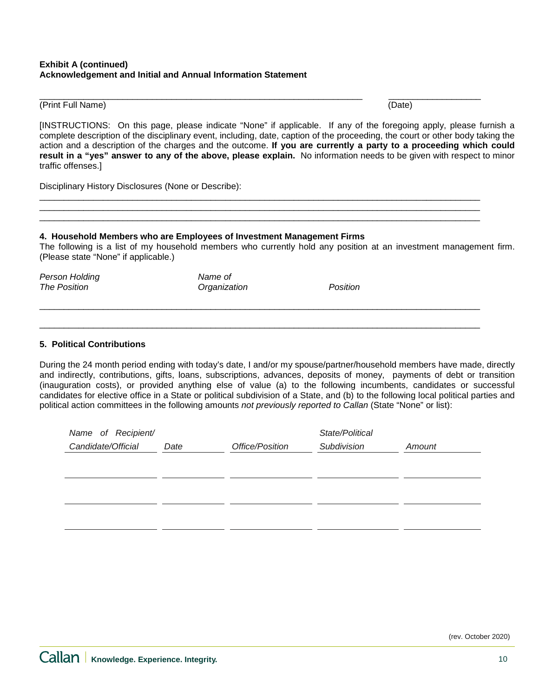#### **Exhibit A (continued) Acknowledgement and Initial and Annual Information Statement**

#### (Print Full Name) (Date)

\_\_\_\_\_\_\_\_\_\_\_\_\_\_\_\_\_\_\_\_\_\_\_\_\_\_\_\_\_\_\_\_\_\_\_\_\_\_\_\_\_\_\_\_\_\_\_\_\_\_\_\_\_\_\_\_\_\_\_\_\_\_\_\_\_\_ \_\_\_\_\_\_\_\_\_\_\_\_\_\_\_\_\_\_\_

[INSTRUCTIONS: On this page, please indicate "None" if applicable. If any of the foregoing apply, please furnish a complete description of the disciplinary event, including, date, caption of the proceeding, the court or other body taking the action and a description of the charges and the outcome. **If you are currently a party to a proceeding which could result in a "yes" answer to any of the above, please explain.** No information needs to be given with respect to minor traffic offenses.]

\_\_\_\_\_\_\_\_\_\_\_\_\_\_\_\_\_\_\_\_\_\_\_\_\_\_\_\_\_\_\_\_\_\_\_\_\_\_\_\_\_\_\_\_\_\_\_\_\_\_\_\_\_\_\_\_\_\_\_\_\_\_\_\_\_\_\_\_\_\_\_\_\_\_\_\_\_\_\_\_\_\_\_\_\_\_\_\_\_\_ \_\_\_\_\_\_\_\_\_\_\_\_\_\_\_\_\_\_\_\_\_\_\_\_\_\_\_\_\_\_\_\_\_\_\_\_\_\_\_\_\_\_\_\_\_\_\_\_\_\_\_\_\_\_\_\_\_\_\_\_\_\_\_\_\_\_\_\_\_\_\_\_\_\_\_\_\_\_\_\_\_\_\_\_\_\_\_\_\_\_ \_\_\_\_\_\_\_\_\_\_\_\_\_\_\_\_\_\_\_\_\_\_\_\_\_\_\_\_\_\_\_\_\_\_\_\_\_\_\_\_\_\_\_\_\_\_\_\_\_\_\_\_\_\_\_\_\_\_\_\_\_\_\_\_\_\_\_\_\_\_\_\_\_\_\_\_\_\_\_\_\_\_\_\_\_\_\_\_\_\_

\_\_\_\_\_\_\_\_\_\_\_\_\_\_\_\_\_\_\_\_\_\_\_\_\_\_\_\_\_\_\_\_\_\_\_\_\_\_\_\_\_\_\_\_\_\_\_\_\_\_\_\_\_\_\_\_\_\_\_\_\_\_\_\_\_\_\_\_\_\_\_\_\_\_\_\_\_\_\_\_\_\_\_\_\_\_\_\_\_\_

\_\_\_\_\_\_\_\_\_\_\_\_\_\_\_\_\_\_\_\_\_\_\_\_\_\_\_\_\_\_\_\_\_\_\_\_\_\_\_\_\_\_\_\_\_\_\_\_\_\_\_\_\_\_\_\_\_\_\_\_\_\_\_\_\_\_\_\_\_\_\_\_\_\_\_\_\_\_\_\_\_\_\_\_\_\_\_\_\_\_

Disciplinary History Disclosures (None or Describe):

### **4. Household Members who are Employees of Investment Management Firms**

The following is a list of my household members who currently hold any position at an investment management firm. (Please state "None" if applicable.)

*Person Holding Name of The Position Organization Position*

### **5. Political Contributions**

During the 24 month period ending with today's date, I and/or my spouse/partner/household members have made, directly and indirectly, contributions, gifts, loans, subscriptions, advances, deposits of money, payments of debt or transition (inauguration costs), or provided anything else of value (a) to the following incumbents, candidates or successful candidates for elective office in a State or political subdivision of a State, and (b) to the following local political parties and political action committees in the following amounts *not previously reported to Callan* (State "None" or list):

| Name of Recipient/ |      |                 | State/Political |        |
|--------------------|------|-----------------|-----------------|--------|
| Candidate/Official | Date | Office/Position | Subdivision     | Amount |
|                    |      |                 |                 |        |
|                    |      |                 |                 |        |
|                    |      |                 |                 |        |
|                    |      |                 |                 |        |
|                    |      |                 |                 |        |
|                    |      |                 |                 |        |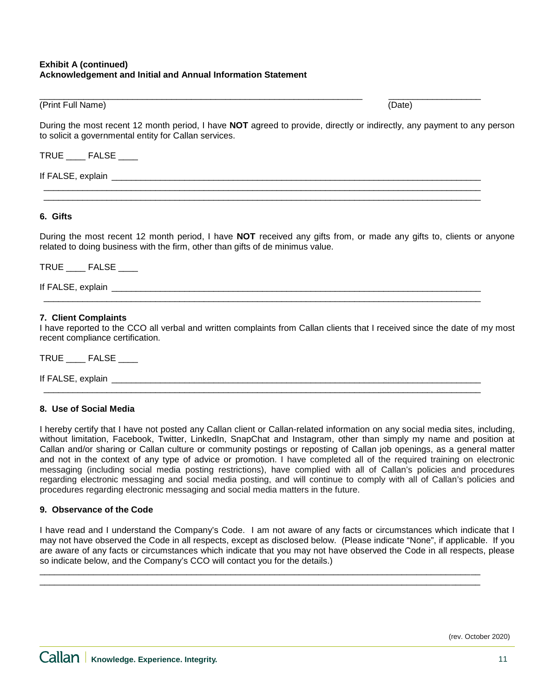### **Exhibit A (continued) Acknowledgement and Initial and Annual Information Statement**

#### \_\_\_\_\_\_\_\_\_\_\_\_\_\_\_\_\_\_\_\_\_\_\_\_\_\_\_\_\_\_\_\_\_\_\_\_\_\_\_\_\_\_\_\_\_\_\_\_\_\_\_\_\_\_\_\_\_\_\_\_\_\_\_\_\_\_ \_\_\_\_\_\_\_\_\_\_\_\_\_\_\_\_\_\_\_ (Print Full Name) (Date)

During the most recent 12 month period, I have **NOT** agreed to provide, directly or indirectly, any payment to any person to solicit a governmental entity for Callan services.

\_\_\_\_\_\_\_\_\_\_\_\_\_\_\_\_\_\_\_\_\_\_\_\_\_\_\_\_\_\_\_\_\_\_\_\_\_\_\_\_\_\_\_\_\_\_\_\_\_\_\_\_\_\_\_\_\_\_\_\_\_\_\_\_\_\_\_\_\_\_\_\_\_\_\_\_\_\_\_\_\_\_\_\_\_\_\_\_\_\_  $\_$  ,  $\_$  ,  $\_$  ,  $\_$  ,  $\_$  ,  $\_$  ,  $\_$  ,  $\_$  ,  $\_$  ,  $\_$  ,  $\_$  ,  $\_$  ,  $\_$  ,  $\_$  ,  $\_$  ,  $\_$  ,  $\_$  ,  $\_$  ,  $\_$  ,  $\_$  ,  $\_$  ,  $\_$  ,  $\_$  ,  $\_$  ,  $\_$  ,  $\_$  ,  $\_$  ,  $\_$  ,  $\_$  ,  $\_$  ,  $\_$  ,  $\_$  ,  $\_$  ,  $\_$  ,  $\_$  ,  $\_$  ,  $\_$  ,

 $\_$  ,  $\_$  ,  $\_$  ,  $\_$  ,  $\_$  ,  $\_$  ,  $\_$  ,  $\_$  ,  $\_$  ,  $\_$  ,  $\_$  ,  $\_$  ,  $\_$  ,  $\_$  ,  $\_$  ,  $\_$  ,  $\_$  ,  $\_$  ,  $\_$  ,  $\_$  ,  $\_$  ,  $\_$  ,  $\_$  ,  $\_$  ,  $\_$  ,  $\_$  ,  $\_$  ,  $\_$  ,  $\_$  ,  $\_$  ,  $\_$  ,  $\_$  ,  $\_$  ,  $\_$  ,  $\_$  ,  $\_$  ,  $\_$  ,

 $\_$  ,  $\_$  ,  $\_$  ,  $\_$  ,  $\_$  ,  $\_$  ,  $\_$  ,  $\_$  ,  $\_$  ,  $\_$  ,  $\_$  ,  $\_$  ,  $\_$  ,  $\_$  ,  $\_$  ,  $\_$  ,  $\_$  ,  $\_$  ,  $\_$  ,  $\_$  ,  $\_$  ,  $\_$  ,  $\_$  ,  $\_$  ,  $\_$  ,  $\_$  ,  $\_$  ,  $\_$  ,  $\_$  ,  $\_$  ,  $\_$  ,  $\_$  ,  $\_$  ,  $\_$  ,  $\_$  ,  $\_$  ,  $\_$  ,

TRUE \_\_\_\_ FALSE \_\_\_\_

If FALSE, explain  $\overline{a}$ 

#### **6. Gifts**

During the most recent 12 month period, I have **NOT** received any gifts from, or made any gifts to, clients or anyone related to doing business with the firm, other than gifts of de minimus value.

TRUE FALSE

If FALSE, explain  $\frac{1}{\sqrt{2}}$ 

#### **7. Client Complaints**

I have reported to the CCO all verbal and written complaints from Callan clients that I received since the date of my most recent compliance certification.

TRUE FALSE

If FALSE, explain **Example 20** and  $\overline{a}$  is the set of  $\overline{b}$  and  $\overline{c}$  is the set of  $\overline{a}$  and  $\overline{b}$  and  $\overline{c}$  and  $\overline{c}$  and  $\overline{c}$  and  $\overline{c}$  and  $\overline{c}$  and  $\overline{c}$  and  $\overline{c}$  and  $\overline{c}$  an

#### **8. Use of Social Media**

I hereby certify that I have not posted any Callan client or Callan-related information on any social media sites, including, without limitation, Facebook, Twitter, LinkedIn, SnapChat and Instagram, other than simply my name and position at Callan and/or sharing or Callan culture or community postings or reposting of Callan job openings, as a general matter and not in the context of any type of advice or promotion. I have completed all of the required training on electronic messaging (including social media posting restrictions), have complied with all of Callan's policies and procedures regarding electronic messaging and social media posting, and will continue to comply with all of Callan's policies and procedures regarding electronic messaging and social media matters in the future.

#### **9. Observance of the Code**

I have read and I understand the Company's Code. I am not aware of any facts or circumstances which indicate that I may not have observed the Code in all respects, except as disclosed below. (Please indicate "None", if applicable. If you are aware of any facts or circumstances which indicate that you may not have observed the Code in all respects, please so indicate below, and the Company's CCO will contact you for the details.)

\_\_\_\_\_\_\_\_\_\_\_\_\_\_\_\_\_\_\_\_\_\_\_\_\_\_\_\_\_\_\_\_\_\_\_\_\_\_\_\_\_\_\_\_\_\_\_\_\_\_\_\_\_\_\_\_\_\_\_\_\_\_\_\_\_\_\_\_\_\_\_\_\_\_\_\_\_\_\_\_\_\_\_\_\_\_\_\_\_\_ \_\_\_\_\_\_\_\_\_\_\_\_\_\_\_\_\_\_\_\_\_\_\_\_\_\_\_\_\_\_\_\_\_\_\_\_\_\_\_\_\_\_\_\_\_\_\_\_\_\_\_\_\_\_\_\_\_\_\_\_\_\_\_\_\_\_\_\_\_\_\_\_\_\_\_\_\_\_\_\_\_\_\_\_\_\_\_\_\_\_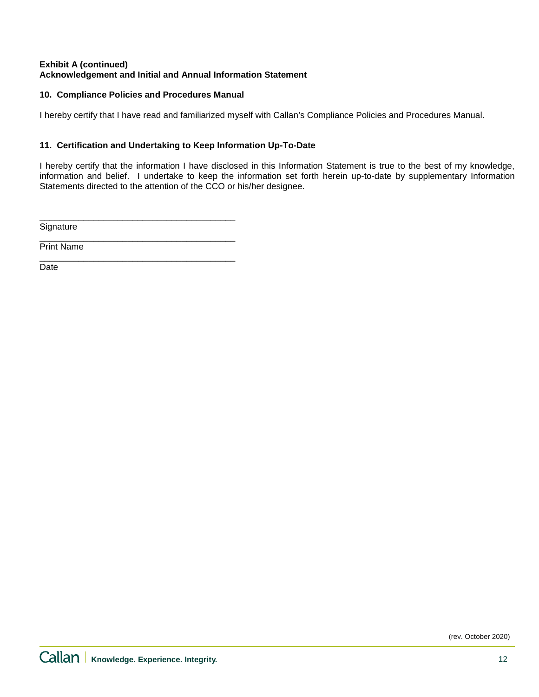## **Exhibit A (continued) Acknowledgement and Initial and Annual Information Statement**

# **10. Compliance Policies and Procedures Manual**

I hereby certify that I have read and familiarized myself with Callan's Compliance Policies and Procedures Manual.

# **11. Certification and Undertaking to Keep Information Up-To-Date**

I hereby certify that the information I have disclosed in this Information Statement is true to the best of my knowledge, information and belief. I undertake to keep the information set forth herein up-to-date by supplementary Information Statements directed to the attention of the CCO or his/her designee.

\_\_\_\_\_\_\_\_\_\_\_\_\_\_\_\_\_\_\_\_\_\_\_\_\_\_\_\_\_\_\_\_\_\_\_\_\_\_\_\_ **Signature** 

\_\_\_\_\_\_\_\_\_\_\_\_\_\_\_\_\_\_\_\_\_\_\_\_\_\_\_\_\_\_\_\_\_\_\_\_\_\_\_\_ Print Name

\_\_\_\_\_\_\_\_\_\_\_\_\_\_\_\_\_\_\_\_\_\_\_\_\_\_\_\_\_\_\_\_\_\_\_\_\_\_\_\_ Date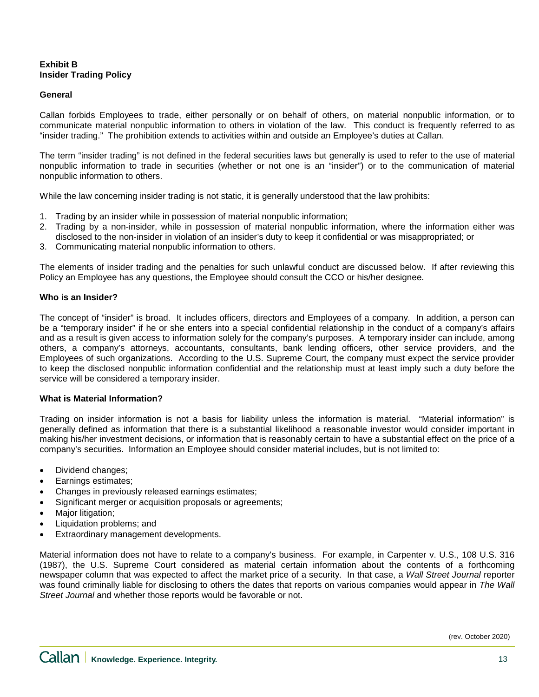# **Exhibit B Insider Trading Policy**

### **General**

Callan forbids Employees to trade, either personally or on behalf of others, on material nonpublic information, or to communicate material nonpublic information to others in violation of the law. This conduct is frequently referred to as "insider trading." The prohibition extends to activities within and outside an Employee's duties at Callan.

The term "insider trading" is not defined in the federal securities laws but generally is used to refer to the use of material nonpublic information to trade in securities (whether or not one is an "insider") or to the communication of material nonpublic information to others.

While the law concerning insider trading is not static, it is generally understood that the law prohibits:

- 1. Trading by an insider while in possession of material nonpublic information;
- 2. Trading by a non-insider, while in possession of material nonpublic information, where the information either was disclosed to the non-insider in violation of an insider's duty to keep it confidential or was misappropriated; or
- 3. Communicating material nonpublic information to others.

The elements of insider trading and the penalties for such unlawful conduct are discussed below. If after reviewing this Policy an Employee has any questions, the Employee should consult the CCO or his/her designee.

#### **Who is an Insider?**

The concept of "insider" is broad. It includes officers, directors and Employees of a company. In addition, a person can be a "temporary insider" if he or she enters into a special confidential relationship in the conduct of a company's affairs and as a result is given access to information solely for the company's purposes. A temporary insider can include, among others, a company's attorneys, accountants, consultants, bank lending officers, other service providers, and the Employees of such organizations. According to the U.S. Supreme Court, the company must expect the service provider to keep the disclosed nonpublic information confidential and the relationship must at least imply such a duty before the service will be considered a temporary insider.

#### **What is Material Information?**

Trading on insider information is not a basis for liability unless the information is material. "Material information" is generally defined as information that there is a substantial likelihood a reasonable investor would consider important in making his/her investment decisions, or information that is reasonably certain to have a substantial effect on the price of a company's securities. Information an Employee should consider material includes, but is not limited to:

- Dividend changes;
- Earnings estimates:
- Changes in previously released earnings estimates;
- Significant merger or acquisition proposals or agreements;
- Major litigation;
- Liquidation problems; and
- Extraordinary management developments.

Material information does not have to relate to a company's business. For example, in Carpenter v. U.S., 108 U.S. 316 (1987), the U.S. Supreme Court considered as material certain information about the contents of a forthcoming newspaper column that was expected to affect the market price of a security. In that case, a *Wall Street Journal* reporter was found criminally liable for disclosing to others the dates that reports on various companies would appear in *The Wall Street Journal* and whether those reports would be favorable or not.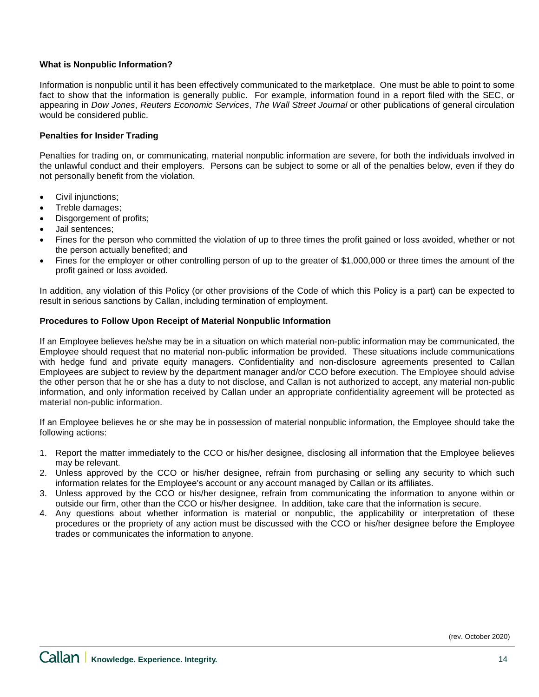### **What is Nonpublic Information?**

Information is nonpublic until it has been effectively communicated to the marketplace. One must be able to point to some fact to show that the information is generally public. For example, information found in a report filed with the SEC, or appearing in *Dow Jones*, *Reuters Economic Services*, *The Wall Street Journal* or other publications of general circulation would be considered public.

### **Penalties for Insider Trading**

Penalties for trading on, or communicating, material nonpublic information are severe, for both the individuals involved in the unlawful conduct and their employers. Persons can be subject to some or all of the penalties below, even if they do not personally benefit from the violation.

- Civil injunctions;
- Treble damages;
- Disgorgement of profits;
- Jail sentences;
- Fines for the person who committed the violation of up to three times the profit gained or loss avoided, whether or not the person actually benefited; and
- Fines for the employer or other controlling person of up to the greater of \$1,000,000 or three times the amount of the profit gained or loss avoided.

In addition, any violation of this Policy (or other provisions of the Code of which this Policy is a part) can be expected to result in serious sanctions by Callan, including termination of employment.

#### **Procedures to Follow Upon Receipt of Material Nonpublic Information**

If an Employee believes he/she may be in a situation on which material non-public information may be communicated, the Employee should request that no material non-public information be provided. These situations include communications with hedge fund and private equity managers. Confidentiality and non-disclosure agreements presented to Callan Employees are subject to review by the department manager and/or CCO before execution. The Employee should advise the other person that he or she has a duty to not disclose, and Callan is not authorized to accept, any material non-public information, and only information received by Callan under an appropriate confidentiality agreement will be protected as material non-public information.

If an Employee believes he or she may be in possession of material nonpublic information, the Employee should take the following actions:

- 1. Report the matter immediately to the CCO or his/her designee, disclosing all information that the Employee believes may be relevant.
- 2. Unless approved by the CCO or his/her designee, refrain from purchasing or selling any security to which such information relates for the Employee's account or any account managed by Callan or its affiliates.
- 3. Unless approved by the CCO or his/her designee, refrain from communicating the information to anyone within or outside our firm, other than the CCO or his/her designee. In addition, take care that the information is secure.
- 4. Any questions about whether information is material or nonpublic, the applicability or interpretation of these procedures or the propriety of any action must be discussed with the CCO or his/her designee before the Employee trades or communicates the information to anyone.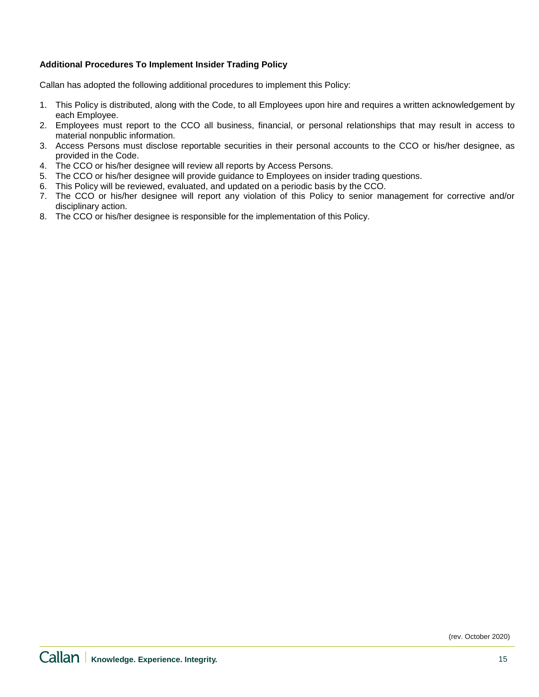## **Additional Procedures To Implement Insider Trading Policy**

Callan has adopted the following additional procedures to implement this Policy:

- 1. This Policy is distributed, along with the Code, to all Employees upon hire and requires a written acknowledgement by each Employee.
- 2. Employees must report to the CCO all business, financial, or personal relationships that may result in access to material nonpublic information.
- 3. Access Persons must disclose reportable securities in their personal accounts to the CCO or his/her designee, as provided in the Code.
- 4. The CCO or his/her designee will review all reports by Access Persons.
- 5. The CCO or his/her designee will provide guidance to Employees on insider trading questions.
- 6. This Policy will be reviewed, evaluated, and updated on a periodic basis by the CCO.
- 7. The CCO or his/her designee will report any violation of this Policy to senior management for corrective and/or disciplinary action.
- 8. The CCO or his/her designee is responsible for the implementation of this Policy.

(rev. October 2020)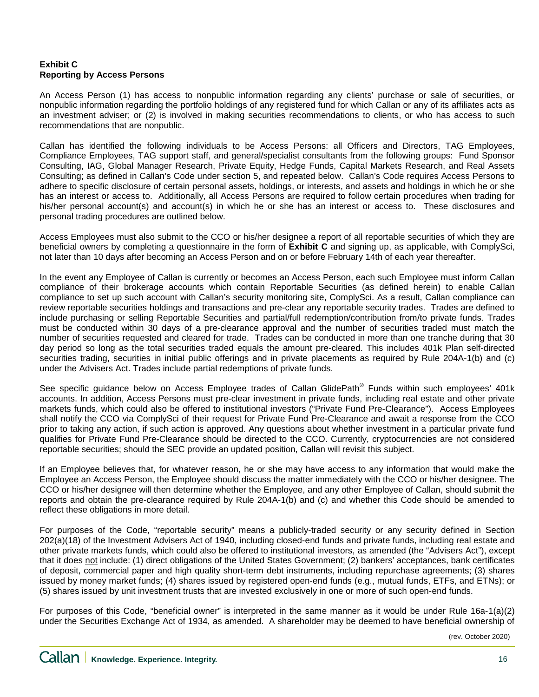## **Exhibit C Reporting by Access Persons**

An Access Person (1) has access to nonpublic information regarding any clients' purchase or sale of securities, or nonpublic information regarding the portfolio holdings of any registered fund for which Callan or any of its affiliates acts as an investment adviser; or (2) is involved in making securities recommendations to clients, or who has access to such recommendations that are nonpublic.

Callan has identified the following individuals to be Access Persons: all Officers and Directors, TAG Employees, Compliance Employees, TAG support staff, and general/specialist consultants from the following groups: Fund Sponsor Consulting, IAG, Global Manager Research, Private Equity, Hedge Funds, Capital Markets Research, and Real Assets Consulting; as defined in Callan's Code under section 5, and repeated below. Callan's Code requires Access Persons to adhere to specific disclosure of certain personal assets, holdings, or interests, and assets and holdings in which he or she has an interest or access to. Additionally, all Access Persons are required to follow certain procedures when trading for his/her personal account(s) and account(s) in which he or she has an interest or access to. These disclosures and personal trading procedures are outlined below.

Access Employees must also submit to the CCO or his/her designee a report of all reportable securities of which they are beneficial owners by completing a questionnaire in the form of **Exhibit C** and signing up, as applicable, with ComplySci, not later than 10 days after becoming an Access Person and on or before February 14th of each year thereafter.

In the event any Employee of Callan is currently or becomes an Access Person, each such Employee must inform Callan compliance of their brokerage accounts which contain Reportable Securities (as defined herein) to enable Callan compliance to set up such account with Callan's security monitoring site, ComplySci. As a result, Callan compliance can review reportable securities holdings and transactions and pre-clear any reportable security trades. Trades are defined to include purchasing or selling Reportable Securities and partial/full redemption/contribution from/to private funds. Trades must be conducted within 30 days of a pre-clearance approval and the number of securities traded must match the number of securities requested and cleared for trade. Trades can be conducted in more than one tranche during that 30 day period so long as the total securities traded equals the amount pre-cleared. This includes 401k Plan self-directed securities trading, securities in initial public offerings and in private placements as required by Rule 204A-1(b) and (c) under the Advisers Act. Trades include partial redemptions of private funds.

See specific guidance below on Access Employee trades of Callan GlidePath<sup>®</sup> Funds within such employees' 401k accounts. In addition, Access Persons must pre-clear investment in private funds, including real estate and other private markets funds, which could also be offered to institutional investors ("Private Fund Pre-Clearance"). Access Employees shall notify the CCO via ComplySci of their request for Private Fund Pre-Clearance and await a response from the CCO prior to taking any action, if such action is approved. Any questions about whether investment in a particular private fund qualifies for Private Fund Pre-Clearance should be directed to the CCO. Currently, cryptocurrencies are not considered reportable securities; should the SEC provide an updated position, Callan will revisit this subject.

If an Employee believes that, for whatever reason, he or she may have access to any information that would make the Employee an Access Person, the Employee should discuss the matter immediately with the CCO or his/her designee. The CCO or his/her designee will then determine whether the Employee, and any other Employee of Callan, should submit the reports and obtain the pre-clearance required by Rule 204A-1(b) and (c) and whether this Code should be amended to reflect these obligations in more detail.

For purposes of the Code, "reportable security" means a publicly-traded security or any security defined in Section 202(a)(18) of the Investment Advisers Act of 1940, including closed-end funds and private funds, including real estate and other private markets funds, which could also be offered to institutional investors, as amended (the "Advisers Act"), except that it does not include: (1) direct obligations of the United States Government; (2) bankers' acceptances, bank certificates of deposit, commercial paper and high quality short-term debt instruments, including repurchase agreements; (3) shares issued by money market funds; (4) shares issued by registered open-end funds (e.g., mutual funds, ETFs, and ETNs); or (5) shares issued by unit investment trusts that are invested exclusively in one or more of such open-end funds.

For purposes of this Code, "beneficial owner" is interpreted in the same manner as it would be under Rule 16a-1(a)(2) under the Securities Exchange Act of 1934, as amended. A shareholder may be deemed to have beneficial ownership of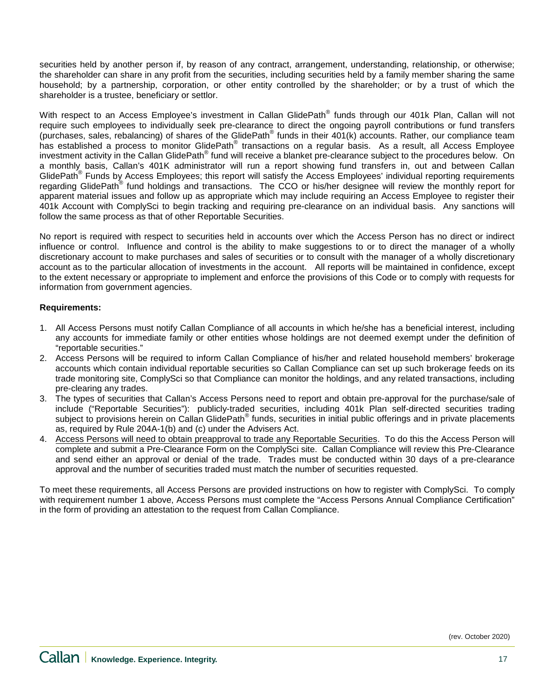securities held by another person if, by reason of any contract, arrangement, understanding, relationship, or otherwise; the shareholder can share in any profit from the securities, including securities held by a family member sharing the same household; by a partnership, corporation, or other entity controlled by the shareholder; or by a trust of which the shareholder is a trustee, beneficiary or settlor.

With respect to an Access Employee's investment in Callan GlidePath® funds through our 401k Plan, Callan will not require such employees to individually seek pre-clearance to direct the ongoing payroll contributions or fund transfers (purchases, sales, rebalancing) of shares of the GlidePath® funds in their 401(k) accounts. Rather, our compliance team has established a process to monitor GlidePath® transactions on a regular basis. As a result, all Access Employee investment activity in the Callan GlidePath® fund will receive a blanket pre-clearance subject to the procedures below. On a monthly basis, Callan's 401K administrator will run a report showing fund transfers in, out and between Callan GlidePath<sup>®</sup> Funds by Access Employees; this report will satisfy the Access Employees' individual reporting requirements regarding GlidePath<sup>®</sup> fund holdings and transactions. The CCO or his/her designee will review the monthly report for apparent material issues and follow up as appropriate which may include requiring an Access Employee to register their 401k Account with ComplySci to begin tracking and requiring pre-clearance on an individual basis. Any sanctions will follow the same process as that of other Reportable Securities.

No report is required with respect to securities held in accounts over which the Access Person has no direct or indirect influence or control. Influence and control is the ability to make suggestions to or to direct the manager of a wholly discretionary account to make purchases and sales of securities or to consult with the manager of a wholly discretionary account as to the particular allocation of investments in the account. All reports will be maintained in confidence, except to the extent necessary or appropriate to implement and enforce the provisions of this Code or to comply with requests for information from government agencies.

## **Requirements:**

- 1. All Access Persons must notify Callan Compliance of all accounts in which he/she has a beneficial interest, including any accounts for immediate family or other entities whose holdings are not deemed exempt under the definition of "reportable securities."
- 2. Access Persons will be required to inform Callan Compliance of his/her and related household members' brokerage accounts which contain individual reportable securities so Callan Compliance can set up such brokerage feeds on its trade monitoring site, ComplySci so that Compliance can monitor the holdings, and any related transactions, including pre-clearing any trades.
- 3. The types of securities that Callan's Access Persons need to report and obtain pre-approval for the purchase/sale of include ("Reportable Securities"): publicly-traded securities, including 401k Plan self-directed securities trading subject to provisions herein on Callan GlidePath<sup>®</sup> funds, securities in initial public offerings and in private placements as, required by Rule 204A-1(b) and (c) under the Advisers Act.
- 4. Access Persons will need to obtain preapproval to trade any Reportable Securities. To do this the Access Person will complete and submit a Pre-Clearance Form on the ComplySci site. Callan Compliance will review this Pre-Clearance and send either an approval or denial of the trade. Trades must be conducted within 30 days of a pre-clearance approval and the number of securities traded must match the number of securities requested.

To meet these requirements, all Access Persons are provided instructions on how to register with ComplySci. To comply with requirement number 1 above, Access Persons must complete the "Access Persons Annual Compliance Certification" in the form of providing an attestation to the request from Callan Compliance.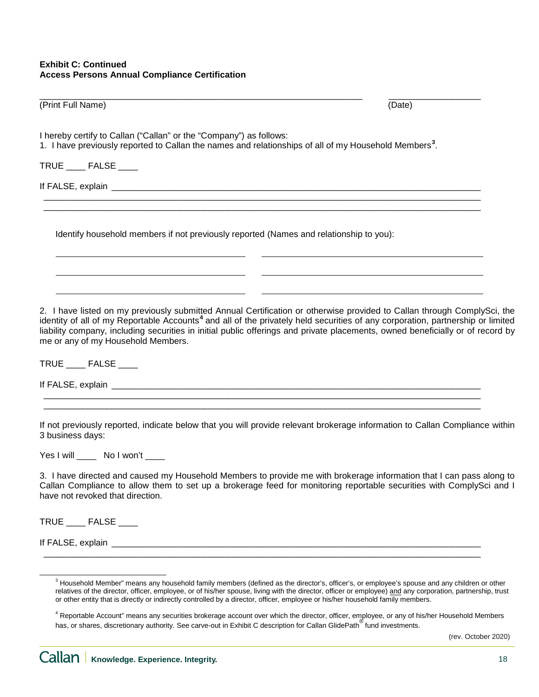| (Print Full Name)                                                                                                                                                                                                                                                                                                                                                                                                                             | (Date) |
|-----------------------------------------------------------------------------------------------------------------------------------------------------------------------------------------------------------------------------------------------------------------------------------------------------------------------------------------------------------------------------------------------------------------------------------------------|--------|
| I hereby certify to Callan ("Callan" or the "Company") as follows:<br>1. I have previously reported to Callan the names and relationships of all of my Household Members <sup>3</sup> .                                                                                                                                                                                                                                                       |        |
| TRUE _____ FALSE ____                                                                                                                                                                                                                                                                                                                                                                                                                         |        |
| If FALSE, explain example and a series of the series of the series of the series of the series of the series of the series of the series of the series of the series of the series of the series of the series of the series o                                                                                                                                                                                                                |        |
| Identify household members if not previously reported (Names and relationship to you):                                                                                                                                                                                                                                                                                                                                                        |        |
| 2. I have listed on my previously submitted Annual Certification or otherwise provided to Callan through ComplySci, the<br>identity of all of my Reportable Accounts <sup>4</sup> and all of the privately held securities of any corporation, partnership or limited<br>liability company, including securities in initial public offerings and private placements, owned beneficially or of record by<br>me or any of my Household Members. |        |
| TRUE _____ FALSE ____                                                                                                                                                                                                                                                                                                                                                                                                                         |        |
| If FALSE, explain <b>All According to the Contract of the Contract of Contract of Contract of Contract of Contract of Contract of Contract of Contract of Contract of Contract of Contract of Contract of Contract of Contract o</b>                                                                                                                                                                                                          |        |
| If not previously reported, indicate below that you will provide relevant brokerage information to Callan Compliance within<br>3 business days:                                                                                                                                                                                                                                                                                               |        |
| Yes I will _____ No I won't ____                                                                                                                                                                                                                                                                                                                                                                                                              |        |
| 3. I have directed and caused my Household Members to provide me with brokerage information that I can pass along to                                                                                                                                                                                                                                                                                                                          |        |

3. I have directed and caused my Household Members to provide me with brokerage information that I can pass along to Callan Compliance to allow them to set up a brokerage feed for monitoring reportable securities with ComplySci and I have not revoked that direction.

TRUE \_\_\_\_ FALSE \_\_\_\_

If FALSE, explain \_\_\_\_\_\_\_\_\_\_\_\_\_\_\_\_\_\_\_\_\_\_\_\_\_\_\_\_\_\_\_\_\_\_\_\_\_\_\_\_\_\_\_\_\_\_\_\_\_\_\_\_\_\_\_\_\_\_\_\_\_\_\_\_\_\_\_\_\_\_\_\_\_\_\_\_

<span id="page-17-0"></span> $\_$  ,  $\_$  ,  $\_$  ,  $\_$  ,  $\_$  ,  $\_$  ,  $\_$  ,  $\_$  ,  $\_$  ,  $\_$  ,  $\_$  ,  $\_$  ,  $\_$  ,  $\_$  ,  $\_$  ,  $\_$  ,  $\_$  ,  $\_$  ,  $\_$  ,  $\_$  ,  $\_$  ,  $\_$  ,  $\_$  ,  $\_$  ,  $\_$  ,  $\_$  ,  $\_$  ,  $\_$  ,  $\_$  ,  $\_$  ,  $\_$  ,  $\_$  ,  $\_$  ,  $\_$  ,  $\_$  ,  $\_$  ,  $\_$  ,

(rev. October 2020)

<sup>&</sup>lt;sup>3</sup> Household Member" means any household family members (defined as the director's, officer's, or employee's spouse and any children or other relatives of the director, officer, employee, or of his/her spouse, living with the director, officer or employee) and any corporation, partnership, trust or other entity that is directly or indirectly controlled by a director, officer, employee or his/her household family members.

<span id="page-17-1"></span><sup>&</sup>lt;sup>4</sup> Reportable Account" means any securities brokerage account over which the director, officer, employee, or any of his/her Household Members has, or shares, discretionary authority. See carve-out in Exhibit C description for Callan GlidePath<sup>®</sup> fund investments.